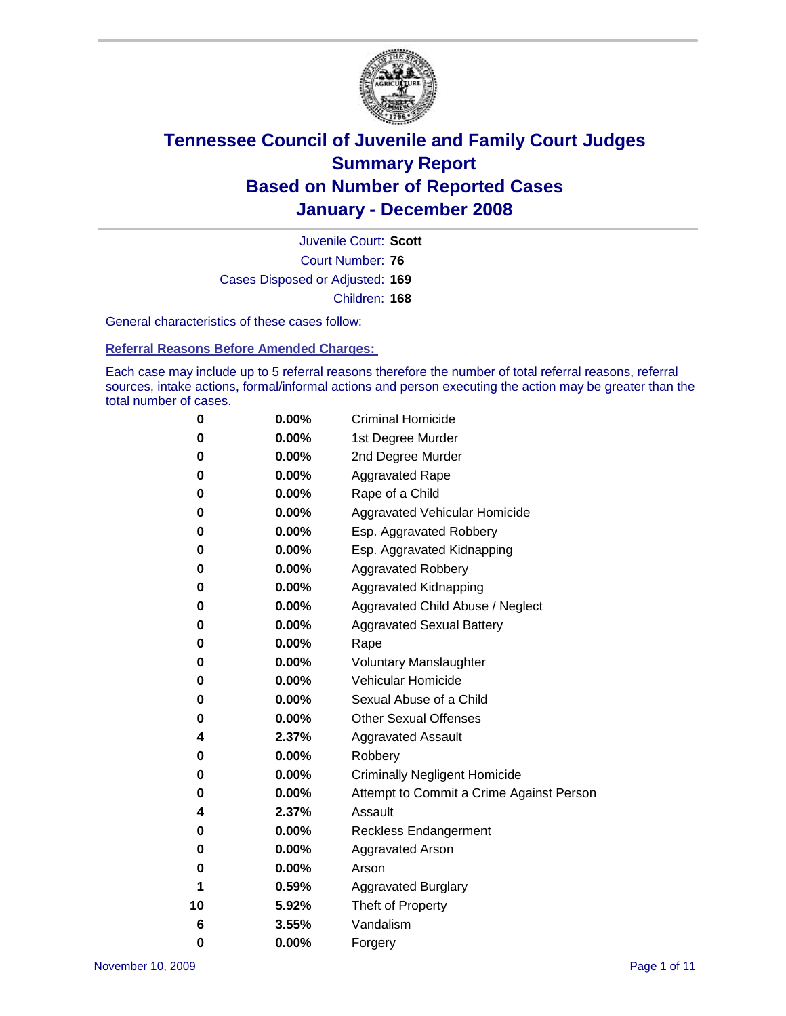

Court Number: **76** Juvenile Court: **Scott** Cases Disposed or Adjusted: **169** Children: **168**

General characteristics of these cases follow:

**Referral Reasons Before Amended Charges:** 

Each case may include up to 5 referral reasons therefore the number of total referral reasons, referral sources, intake actions, formal/informal actions and person executing the action may be greater than the total number of cases.

| 0  | 0.00%    | <b>Criminal Homicide</b>                 |
|----|----------|------------------------------------------|
| 0  | 0.00%    | 1st Degree Murder                        |
| 0  | $0.00\%$ | 2nd Degree Murder                        |
| 0  | 0.00%    | <b>Aggravated Rape</b>                   |
| 0  | 0.00%    | Rape of a Child                          |
| 0  | 0.00%    | Aggravated Vehicular Homicide            |
| 0  | 0.00%    | Esp. Aggravated Robbery                  |
| 0  | 0.00%    | Esp. Aggravated Kidnapping               |
| 0  | 0.00%    | <b>Aggravated Robbery</b>                |
| 0  | 0.00%    | Aggravated Kidnapping                    |
| 0  | 0.00%    | Aggravated Child Abuse / Neglect         |
| 0  | $0.00\%$ | <b>Aggravated Sexual Battery</b>         |
| 0  | 0.00%    | Rape                                     |
| 0  | 0.00%    | <b>Voluntary Manslaughter</b>            |
| 0  | 0.00%    | Vehicular Homicide                       |
| 0  | 0.00%    | Sexual Abuse of a Child                  |
| 0  | 0.00%    | <b>Other Sexual Offenses</b>             |
| 4  | 2.37%    | <b>Aggravated Assault</b>                |
| 0  | $0.00\%$ | Robbery                                  |
| 0  | 0.00%    | <b>Criminally Negligent Homicide</b>     |
| 0  | 0.00%    | Attempt to Commit a Crime Against Person |
| 4  | 2.37%    | Assault                                  |
| 0  | 0.00%    | <b>Reckless Endangerment</b>             |
| 0  | 0.00%    | Aggravated Arson                         |
| 0  | 0.00%    | Arson                                    |
| 1  | 0.59%    | <b>Aggravated Burglary</b>               |
| 10 | 5.92%    | Theft of Property                        |
| 6  | 3.55%    | Vandalism                                |
| 0  | 0.00%    | Forgery                                  |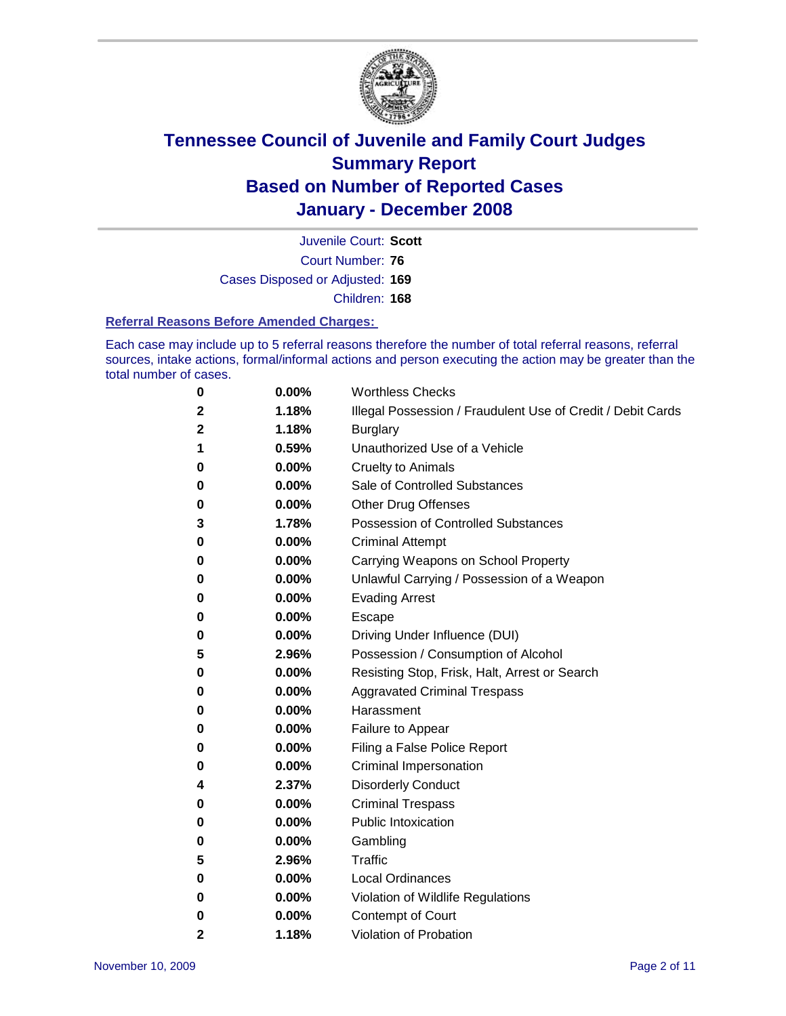

Court Number: **76** Juvenile Court: **Scott** Cases Disposed or Adjusted: **169** Children: **168**

#### **Referral Reasons Before Amended Charges:**

Each case may include up to 5 referral reasons therefore the number of total referral reasons, referral sources, intake actions, formal/informal actions and person executing the action may be greater than the total number of cases.

| $\boldsymbol{0}$ | 0.00% | <b>Worthless Checks</b>                                     |
|------------------|-------|-------------------------------------------------------------|
| $\mathbf 2$      | 1.18% | Illegal Possession / Fraudulent Use of Credit / Debit Cards |
| 2                | 1.18% | <b>Burglary</b>                                             |
| 1                | 0.59% | Unauthorized Use of a Vehicle                               |
| 0                | 0.00% | <b>Cruelty to Animals</b>                                   |
| 0                | 0.00% | Sale of Controlled Substances                               |
| 0                | 0.00% | <b>Other Drug Offenses</b>                                  |
| 3                | 1.78% | <b>Possession of Controlled Substances</b>                  |
| 0                | 0.00% | <b>Criminal Attempt</b>                                     |
| 0                | 0.00% | Carrying Weapons on School Property                         |
| 0                | 0.00% | Unlawful Carrying / Possession of a Weapon                  |
| 0                | 0.00% | <b>Evading Arrest</b>                                       |
| 0                | 0.00% | Escape                                                      |
| 0                | 0.00% | Driving Under Influence (DUI)                               |
| 5                | 2.96% | Possession / Consumption of Alcohol                         |
| 0                | 0.00% | Resisting Stop, Frisk, Halt, Arrest or Search               |
| 0                | 0.00% | <b>Aggravated Criminal Trespass</b>                         |
| 0                | 0.00% | Harassment                                                  |
| 0                | 0.00% | Failure to Appear                                           |
| 0                | 0.00% | Filing a False Police Report                                |
| 0                | 0.00% | Criminal Impersonation                                      |
| 4                | 2.37% | <b>Disorderly Conduct</b>                                   |
| 0                | 0.00% | <b>Criminal Trespass</b>                                    |
| 0                | 0.00% | <b>Public Intoxication</b>                                  |
| 0                | 0.00% | Gambling                                                    |
| 5                | 2.96% | Traffic                                                     |
| 0                | 0.00% | <b>Local Ordinances</b>                                     |
| 0                | 0.00% | Violation of Wildlife Regulations                           |
| 0                | 0.00% | <b>Contempt of Court</b>                                    |
| 2                | 1.18% | Violation of Probation                                      |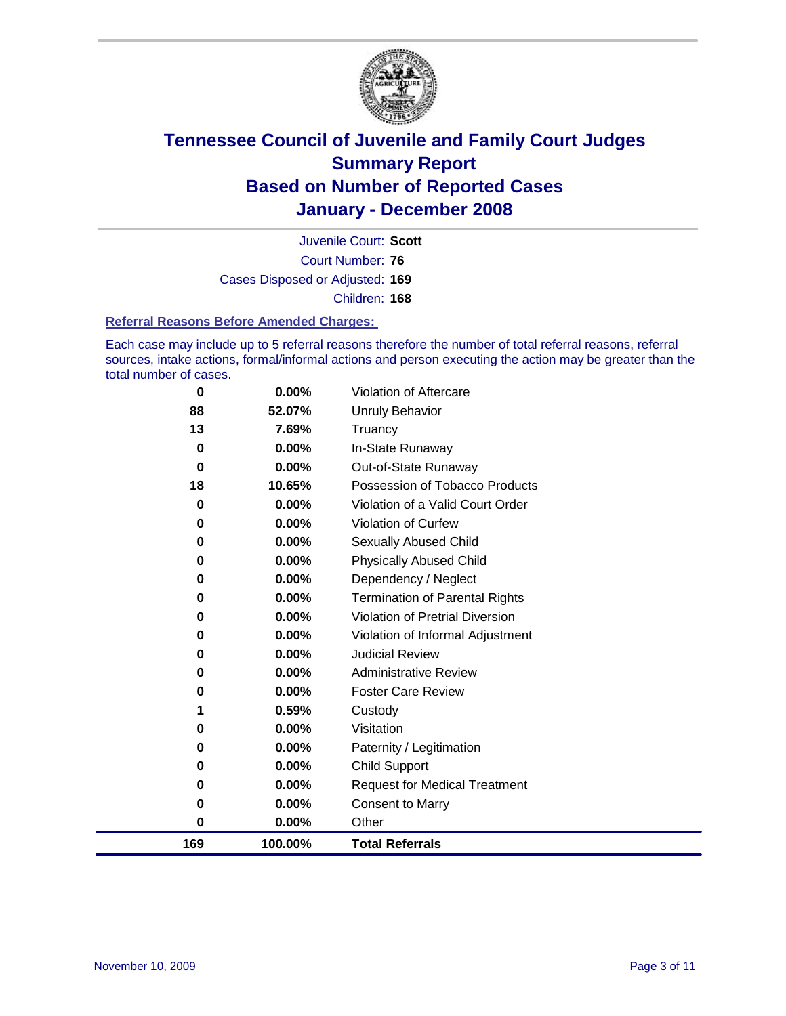

Court Number: **76** Juvenile Court: **Scott** Cases Disposed or Adjusted: **169** Children: **168**

#### **Referral Reasons Before Amended Charges:**

Each case may include up to 5 referral reasons therefore the number of total referral reasons, referral sources, intake actions, formal/informal actions and person executing the action may be greater than the total number of cases.

| 0        | 0.00%   | Violation of Aftercare                 |
|----------|---------|----------------------------------------|
| 88       | 52.07%  | <b>Unruly Behavior</b>                 |
| 13       | 7.69%   | Truancy                                |
| 0        | 0.00%   | In-State Runaway                       |
| $\bf{0}$ | 0.00%   | Out-of-State Runaway                   |
| 18       | 10.65%  | Possession of Tobacco Products         |
| 0        | 0.00%   | Violation of a Valid Court Order       |
| 0        | 0.00%   | Violation of Curfew                    |
| 0        | 0.00%   | Sexually Abused Child                  |
| 0        | 0.00%   | <b>Physically Abused Child</b>         |
| 0        | 0.00%   | Dependency / Neglect                   |
| 0        | 0.00%   | <b>Termination of Parental Rights</b>  |
| 0        | 0.00%   | <b>Violation of Pretrial Diversion</b> |
| 0        | 0.00%   | Violation of Informal Adjustment       |
| 0        | 0.00%   | <b>Judicial Review</b>                 |
| 0        | 0.00%   | <b>Administrative Review</b>           |
| 0        | 0.00%   | <b>Foster Care Review</b>              |
| 1        | 0.59%   | Custody                                |
| 0        | 0.00%   | Visitation                             |
| 0        | 0.00%   | Paternity / Legitimation               |
| 0        | 0.00%   | <b>Child Support</b>                   |
| 0        | 0.00%   | <b>Request for Medical Treatment</b>   |
| 0        | 0.00%   | <b>Consent to Marry</b>                |
| 0        | 0.00%   | Other                                  |
| 169      | 100.00% | <b>Total Referrals</b>                 |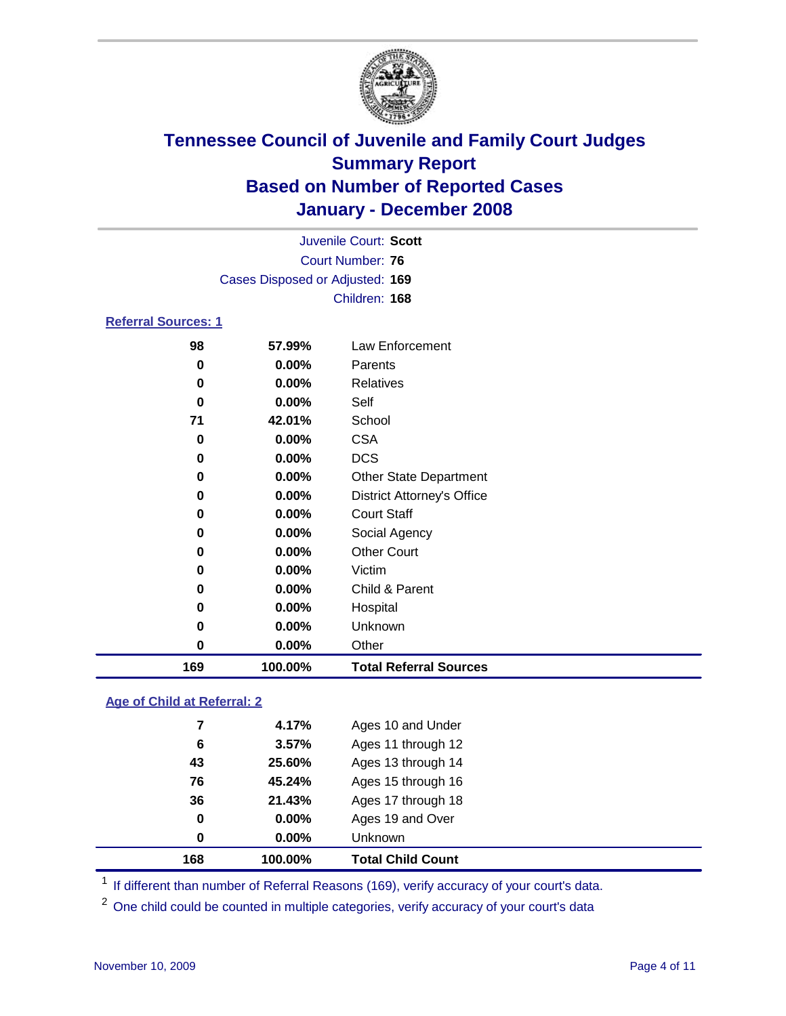

|                            | Juvenile Court: Scott<br>Court Number: 76<br>Cases Disposed or Adjusted: 169 |                                                |  |  |
|----------------------------|------------------------------------------------------------------------------|------------------------------------------------|--|--|
| <b>Referral Sources: 1</b> |                                                                              | Children: 168                                  |  |  |
| 98<br>0<br>0               | 57.99%<br>$0.00\%$<br>$0.00\%$                                               | Law Enforcement<br>Parents<br><b>Relatives</b> |  |  |

| 169 | 100.00% | <b>Total Referral Sources</b>     |
|-----|---------|-----------------------------------|
| 0   | 0.00%   | Other                             |
| 0   | 0.00%   | Unknown                           |
| 0   | 0.00%   | Hospital                          |
| 0   | 0.00%   | Child & Parent                    |
| 0   | 0.00%   | Victim                            |
| 0   | 0.00%   | <b>Other Court</b>                |
| 0   | 0.00%   | Social Agency                     |
| 0   | 0.00%   | <b>Court Staff</b>                |
| 0   | 0.00%   | <b>District Attorney's Office</b> |
| 0   | 0.00%   | <b>Other State Department</b>     |
| 0   | 0.00%   | <b>DCS</b>                        |
| 0   | 0.00%   | <b>CSA</b>                        |
| 71  | 42.01%  | School                            |
| 0   | 0.00%   | Self                              |

#### **Age of Child at Referral: 2**

| 168 | 100.00%      | <b>Total Child Count</b> |
|-----|--------------|--------------------------|
|     | 0.00%<br>0   | Unknown                  |
|     | 0<br>0.00%   | Ages 19 and Over         |
|     | 36<br>21.43% | Ages 17 through 18       |
|     | 76<br>45.24% | Ages 15 through 16       |
|     | 25.60%<br>43 | Ages 13 through 14       |
|     | 3.57%<br>6   | Ages 11 through 12       |
|     | 4.17%<br>7   | Ages 10 and Under        |
|     |              |                          |

<sup>1</sup> If different than number of Referral Reasons (169), verify accuracy of your court's data.

<sup>2</sup> One child could be counted in multiple categories, verify accuracy of your court's data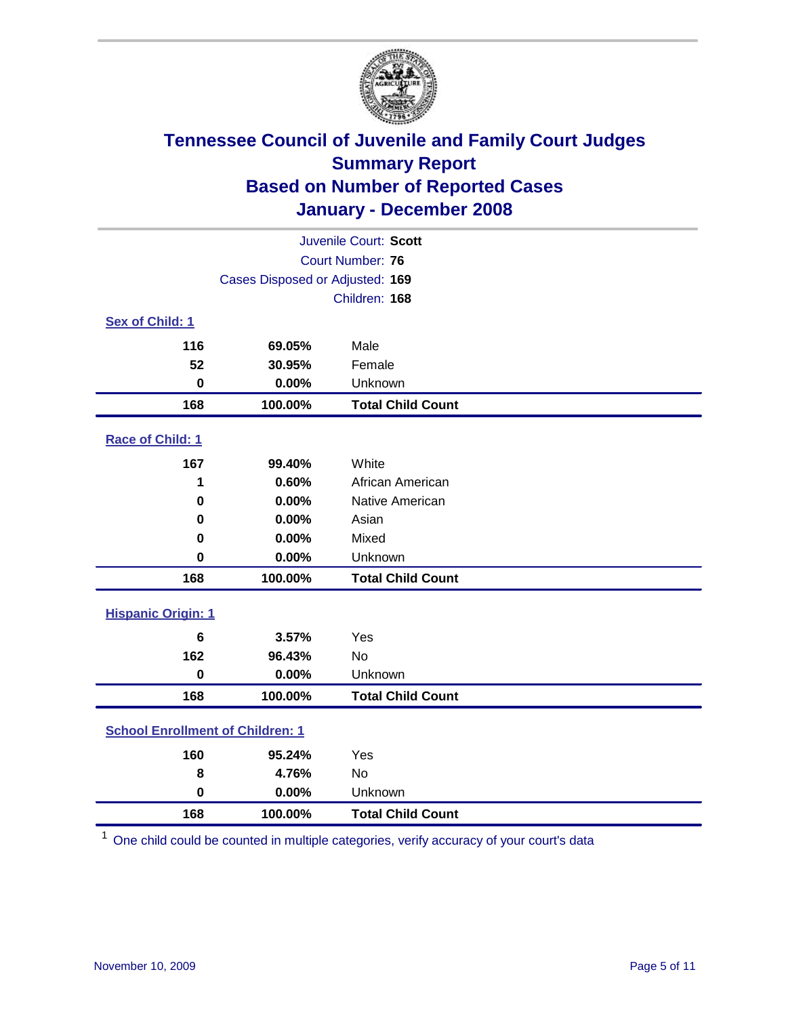

| Juvenile Court: Scott                   |                                 |                          |  |  |  |
|-----------------------------------------|---------------------------------|--------------------------|--|--|--|
|                                         | <b>Court Number: 76</b>         |                          |  |  |  |
|                                         | Cases Disposed or Adjusted: 169 |                          |  |  |  |
|                                         |                                 | Children: 168            |  |  |  |
| Sex of Child: 1                         |                                 |                          |  |  |  |
| 116                                     | 69.05%                          | Male                     |  |  |  |
| 52                                      | 30.95%                          | Female                   |  |  |  |
| $\bf{0}$                                | 0.00%                           | Unknown                  |  |  |  |
| 168                                     | 100.00%                         | <b>Total Child Count</b> |  |  |  |
| <b>Race of Child: 1</b>                 |                                 |                          |  |  |  |
| 167                                     | 99.40%                          | White                    |  |  |  |
| 1                                       | 0.60%                           | African American         |  |  |  |
| 0                                       | 0.00%                           | Native American          |  |  |  |
| 0                                       | 0.00%                           | Asian                    |  |  |  |
| 0                                       | 0.00%                           | Mixed                    |  |  |  |
| $\bf{0}$                                | 0.00%                           | Unknown                  |  |  |  |
| 168                                     | 100.00%                         | <b>Total Child Count</b> |  |  |  |
| <b>Hispanic Origin: 1</b>               |                                 |                          |  |  |  |
| 6                                       | 3.57%                           | Yes                      |  |  |  |
| 162                                     | 96.43%                          | <b>No</b>                |  |  |  |
| $\mathbf 0$                             | 0.00%                           | Unknown                  |  |  |  |
| 168                                     | 100.00%                         | <b>Total Child Count</b> |  |  |  |
| <b>School Enrollment of Children: 1</b> |                                 |                          |  |  |  |
| 160                                     | 95.24%                          | Yes                      |  |  |  |
| 8                                       | 4.76%                           | No                       |  |  |  |
| $\bf{0}$                                | 0.00%                           | Unknown                  |  |  |  |
| 168                                     | 100.00%                         | <b>Total Child Count</b> |  |  |  |

One child could be counted in multiple categories, verify accuracy of your court's data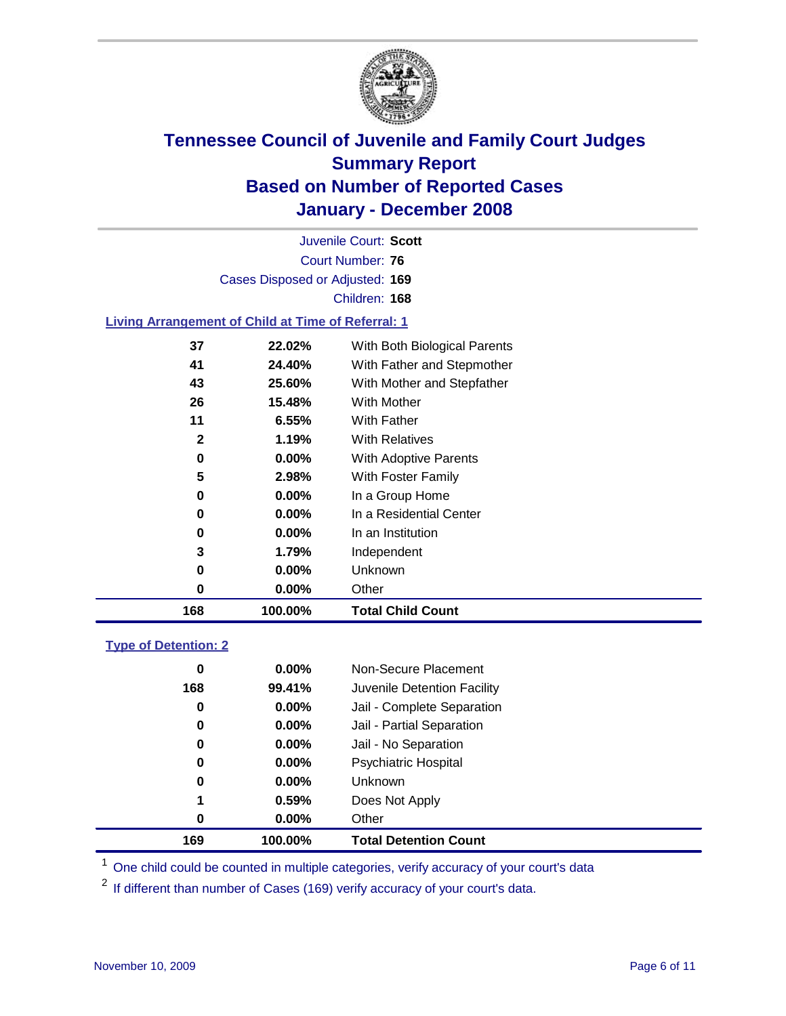

Court Number: **76** Juvenile Court: **Scott** Cases Disposed or Adjusted: **169** Children: **168**

#### **Living Arrangement of Child at Time of Referral: 1**

| 168 | 100.00%  | <b>Total Child Count</b>     |
|-----|----------|------------------------------|
| 0   | $0.00\%$ | Other                        |
| 0   | $0.00\%$ | Unknown                      |
| 3   | 1.79%    | Independent                  |
| 0   | $0.00\%$ | In an Institution            |
| 0   | $0.00\%$ | In a Residential Center      |
| 0   | $0.00\%$ | In a Group Home              |
| 5   | 2.98%    | With Foster Family           |
| 0   | $0.00\%$ | With Adoptive Parents        |
| 2   | 1.19%    | <b>With Relatives</b>        |
| 11  | 6.55%    | <b>With Father</b>           |
| 26  | 15.48%   | With Mother                  |
| 43  | 25.60%   | With Mother and Stepfather   |
| 41  | 24.40%   | With Father and Stepmother   |
| 37  | 22.02%   | With Both Biological Parents |
|     |          |                              |

#### **Type of Detention: 2**

| 169 | 100.00%  | <b>Total Detention Count</b> |  |
|-----|----------|------------------------------|--|
| 0   | $0.00\%$ | Other                        |  |
| 1   | 0.59%    | Does Not Apply               |  |
| 0   | $0.00\%$ | <b>Unknown</b>               |  |
| 0   | $0.00\%$ | <b>Psychiatric Hospital</b>  |  |
| 0   | $0.00\%$ | Jail - No Separation         |  |
| 0   | $0.00\%$ | Jail - Partial Separation    |  |
| 0   | $0.00\%$ | Jail - Complete Separation   |  |
| 168 | 99.41%   | Juvenile Detention Facility  |  |
| 0   | $0.00\%$ | Non-Secure Placement         |  |
|     |          |                              |  |

<sup>1</sup> One child could be counted in multiple categories, verify accuracy of your court's data

<sup>2</sup> If different than number of Cases (169) verify accuracy of your court's data.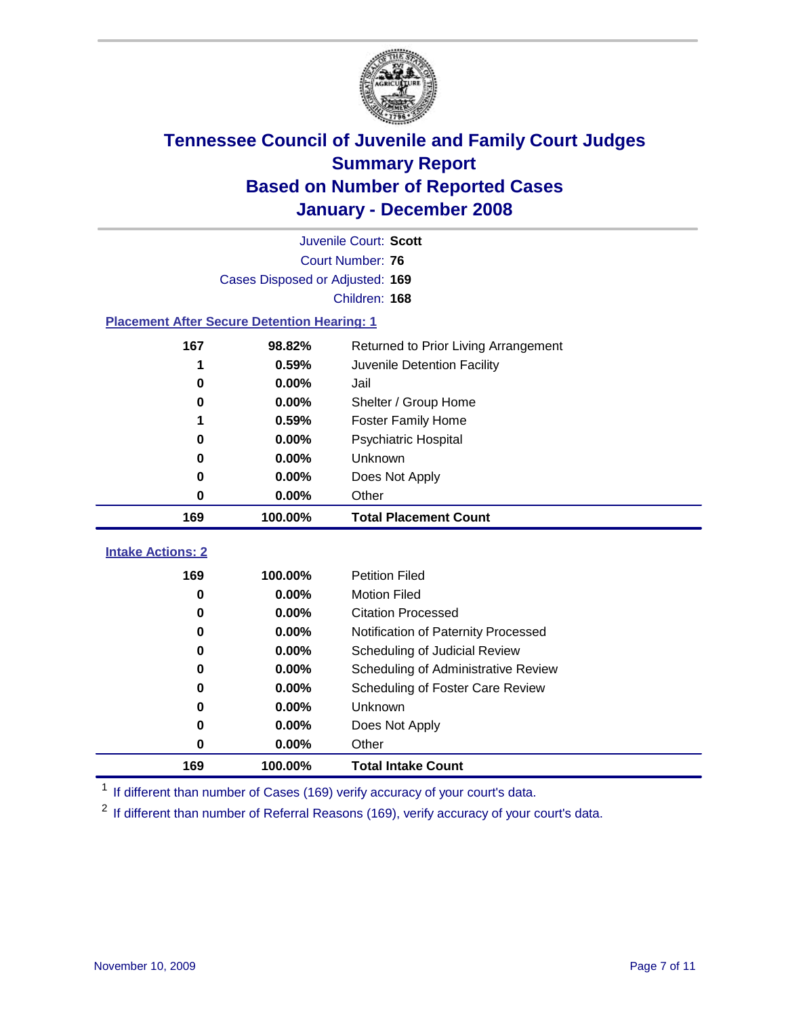

|                                                    | Juvenile Court: Scott           |                                      |  |  |  |
|----------------------------------------------------|---------------------------------|--------------------------------------|--|--|--|
|                                                    | Court Number: 76                |                                      |  |  |  |
|                                                    | Cases Disposed or Adjusted: 169 |                                      |  |  |  |
|                                                    |                                 | Children: 168                        |  |  |  |
| <b>Placement After Secure Detention Hearing: 1</b> |                                 |                                      |  |  |  |
| 167                                                | 98.82%                          | Returned to Prior Living Arrangement |  |  |  |
| 1                                                  | 0.59%                           | Juvenile Detention Facility          |  |  |  |
| $\bf{0}$                                           | 0.00%                           | Jail                                 |  |  |  |
| $\bf{0}$                                           | 0.00%                           | Shelter / Group Home                 |  |  |  |
| 1                                                  | 0.59%                           | <b>Foster Family Home</b>            |  |  |  |
| 0                                                  | 0.00%                           | Psychiatric Hospital                 |  |  |  |
| 0                                                  | 0.00%                           | Unknown                              |  |  |  |
| 0                                                  | 0.00%                           | Does Not Apply                       |  |  |  |
| 0                                                  | 0.00%                           | Other                                |  |  |  |
| 169                                                | 100.00%                         | <b>Total Placement Count</b>         |  |  |  |
| <b>Intake Actions: 2</b>                           |                                 |                                      |  |  |  |
|                                                    |                                 |                                      |  |  |  |
| 169                                                | 100.00%                         | <b>Petition Filed</b>                |  |  |  |
| 0                                                  | 0.00%                           | <b>Motion Filed</b>                  |  |  |  |
| 0                                                  | 0.00%                           | <b>Citation Processed</b>            |  |  |  |
| 0.00%<br>0                                         |                                 | Notification of Paternity Processed  |  |  |  |
| 0.00%<br>$\bf{0}$<br>0.00%<br>0                    |                                 | Scheduling of Judicial Review        |  |  |  |
|                                                    |                                 | Scheduling of Administrative Review  |  |  |  |
| 0                                                  | 0.00%                           | Scheduling of Foster Care Review     |  |  |  |
| 0                                                  | 0.00%                           | Unknown                              |  |  |  |
| 0                                                  | 0.00%                           | Does Not Apply                       |  |  |  |
| 0                                                  | 0.00%                           | Other                                |  |  |  |
| 169                                                | 100.00%                         | <b>Total Intake Count</b>            |  |  |  |

<sup>1</sup> If different than number of Cases (169) verify accuracy of your court's data.

<sup>2</sup> If different than number of Referral Reasons (169), verify accuracy of your court's data.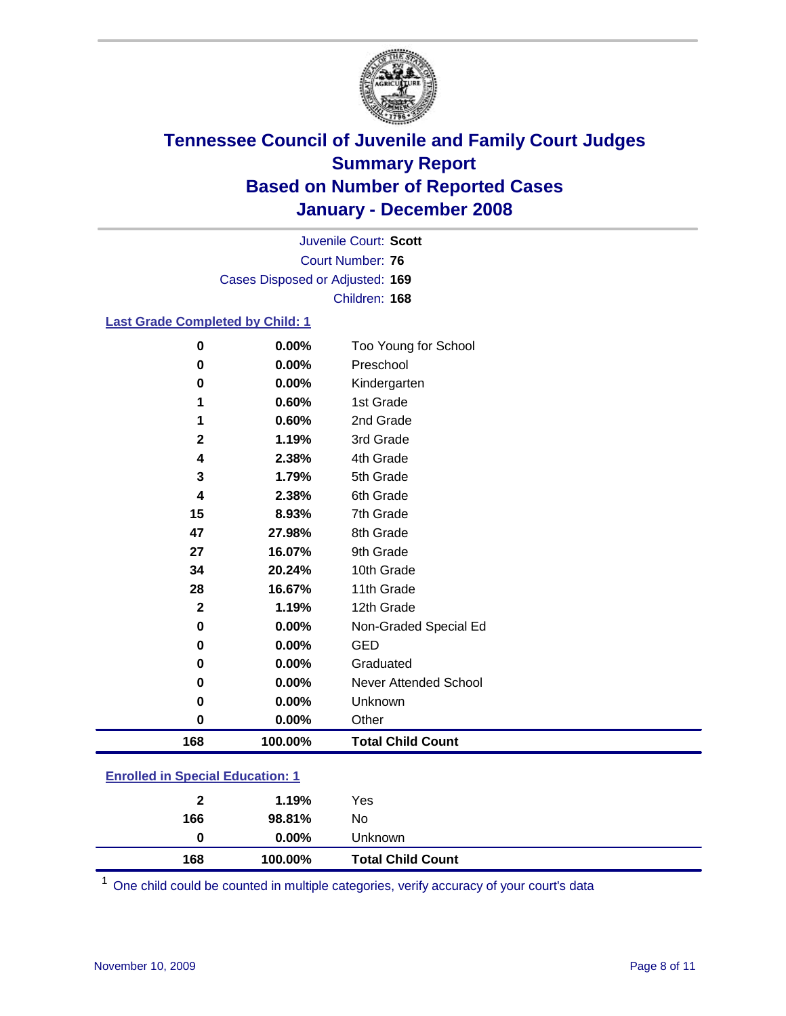

Court Number: **76** Juvenile Court: **Scott** Cases Disposed or Adjusted: **169** Children: **168**

#### **Last Grade Completed by Child: 1**

| 0<br>0       | 0.00%<br>0.00% | Too Young for School<br>Preschool |
|--------------|----------------|-----------------------------------|
|              |                |                                   |
| 0            | 0.00%          | Kindergarten                      |
| 1            | 0.60%          | 1st Grade                         |
| 1            | 0.60%          | 2nd Grade                         |
| $\mathbf{2}$ | 1.19%          | 3rd Grade                         |
| 4            | 2.38%          | 4th Grade                         |
| 3            | 1.79%          | 5th Grade                         |
| 4            | 2.38%          | 6th Grade                         |
| 15           | 8.93%          | 7th Grade                         |
| 47           | 27.98%         | 8th Grade                         |
| 27           | 16.07%         | 9th Grade                         |
| 34           | 20.24%         | 10th Grade                        |
| 28           | 16.67%         | 11th Grade                        |
| $\mathbf 2$  | 1.19%          | 12th Grade                        |
| 0            | 0.00%          | Non-Graded Special Ed             |
| 0            | 0.00%          | <b>GED</b>                        |
| 0            | 0.00%          | Graduated                         |
| 0            | 0.00%          | Never Attended School             |
| 0            | 0.00%          | Unknown                           |
| 0            | 0.00%          | Other                             |
| 168          | 100.00%        | <b>Total Child Count</b>          |

### **Enrolled in Special Education: 1**

| 168 | 0<br>100.00% | $0.00\%$<br>Unknown<br><b>Total Child Count</b> |  |
|-----|--------------|-------------------------------------------------|--|
| 166 | 98.81%       | No                                              |  |
|     | $\mathbf{2}$ | 1.19%<br>Yes                                    |  |

One child could be counted in multiple categories, verify accuracy of your court's data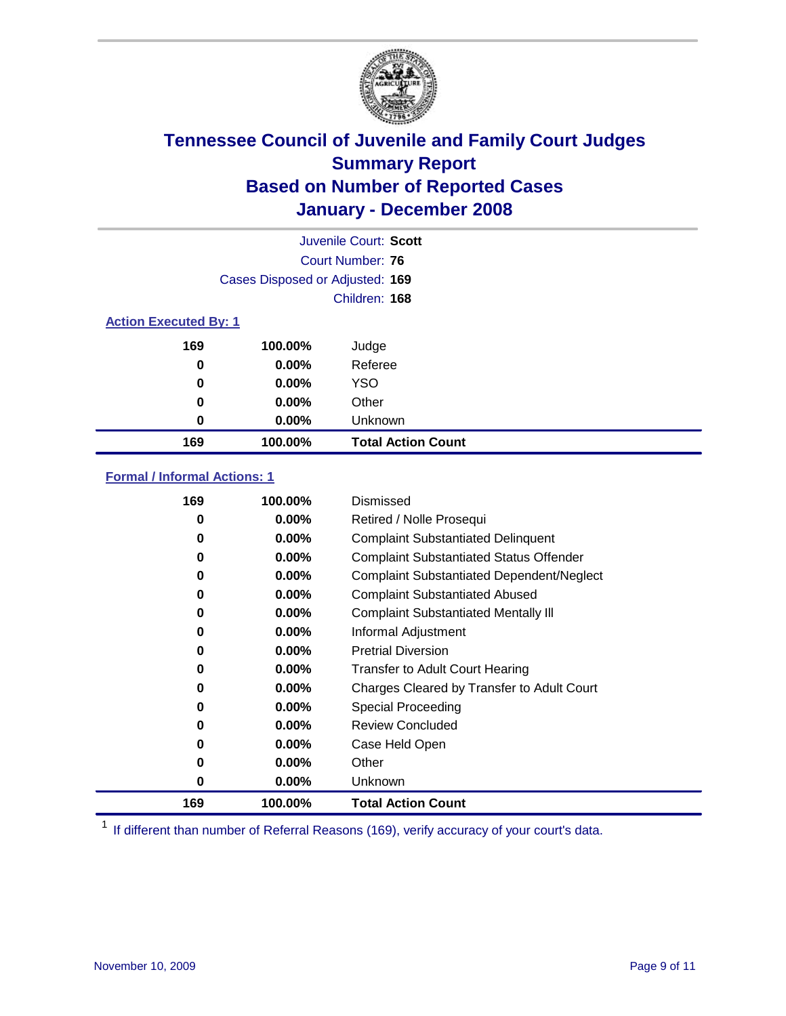

|                              |                                 | Juvenile Court: Scott     |
|------------------------------|---------------------------------|---------------------------|
|                              |                                 | Court Number: 76          |
|                              | Cases Disposed or Adjusted: 169 |                           |
|                              |                                 | Children: 168             |
| <b>Action Executed By: 1</b> |                                 |                           |
| 169                          | 100.00%                         | Judge                     |
| 0                            | $0.00\%$                        | Referee                   |
| 0                            | $0.00\%$                        | <b>YSO</b>                |
| 0                            | $0.00\%$                        | Other                     |
| 0                            | $0.00\%$                        | Unknown                   |
| 169                          | 100.00%                         | <b>Total Action Count</b> |

### **Formal / Informal Actions: 1**

| 169 | 100.00%  | Dismissed                                        |
|-----|----------|--------------------------------------------------|
| 0   | $0.00\%$ | Retired / Nolle Prosequi                         |
| 0   | $0.00\%$ | <b>Complaint Substantiated Delinquent</b>        |
| 0   | $0.00\%$ | <b>Complaint Substantiated Status Offender</b>   |
| 0   | $0.00\%$ | <b>Complaint Substantiated Dependent/Neglect</b> |
| 0   | $0.00\%$ | <b>Complaint Substantiated Abused</b>            |
| 0   | $0.00\%$ | <b>Complaint Substantiated Mentally III</b>      |
| 0   | $0.00\%$ | Informal Adjustment                              |
| 0   | $0.00\%$ | <b>Pretrial Diversion</b>                        |
| 0   | $0.00\%$ | <b>Transfer to Adult Court Hearing</b>           |
| 0   | $0.00\%$ | Charges Cleared by Transfer to Adult Court       |
| 0   | $0.00\%$ | Special Proceeding                               |
| 0   | $0.00\%$ | <b>Review Concluded</b>                          |
| 0   | $0.00\%$ | Case Held Open                                   |
| 0   | $0.00\%$ | Other                                            |
| 0   | $0.00\%$ | Unknown                                          |
| 169 | 100.00%  | <b>Total Action Count</b>                        |

<sup>1</sup> If different than number of Referral Reasons (169), verify accuracy of your court's data.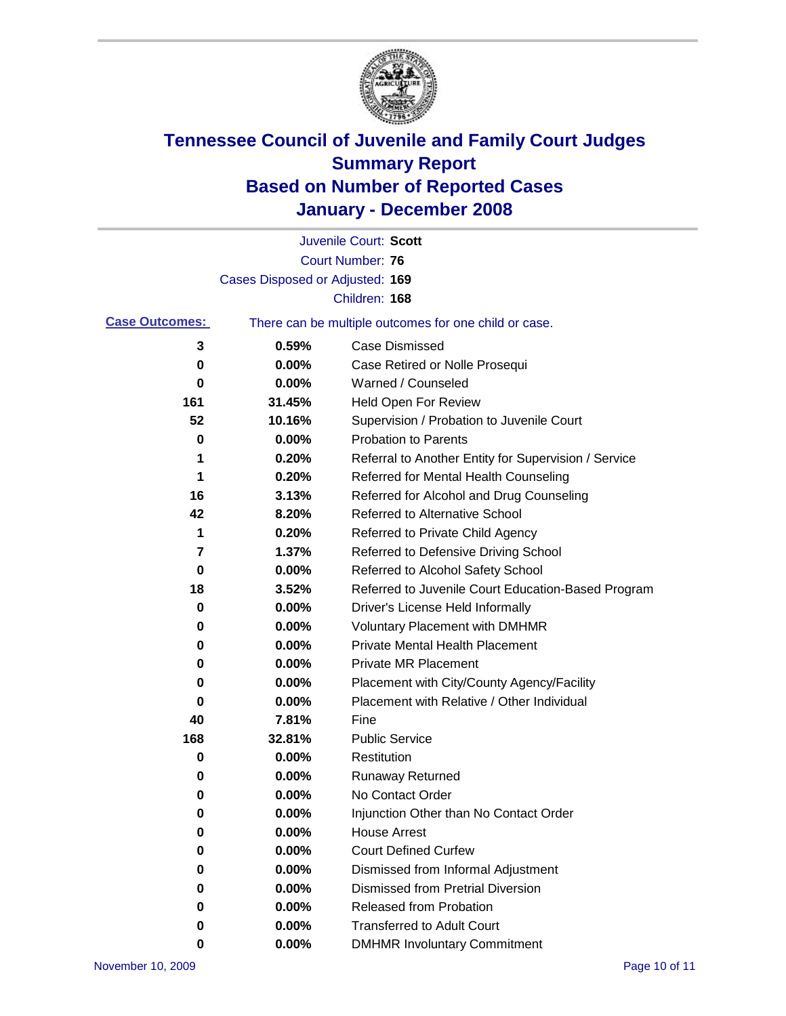

|                       |                                 | Juvenile Court: Scott                                 |
|-----------------------|---------------------------------|-------------------------------------------------------|
|                       |                                 | Court Number: 76                                      |
|                       | Cases Disposed or Adjusted: 169 |                                                       |
|                       |                                 | Children: 168                                         |
| <b>Case Outcomes:</b> |                                 | There can be multiple outcomes for one child or case. |
| 3                     | 0.59%                           | <b>Case Dismissed</b>                                 |
| 0                     | 0.00%                           | Case Retired or Nolle Prosequi                        |
| 0                     | 0.00%                           | Warned / Counseled                                    |
| 161                   | 31.45%                          | <b>Held Open For Review</b>                           |
| 52                    | 10.16%                          | Supervision / Probation to Juvenile Court             |
| 0                     | 0.00%                           | <b>Probation to Parents</b>                           |
| 1                     | 0.20%                           | Referral to Another Entity for Supervision / Service  |
| 1                     | 0.20%                           | Referred for Mental Health Counseling                 |
| 16                    | 3.13%                           | Referred for Alcohol and Drug Counseling              |
| 42                    | 8.20%                           | <b>Referred to Alternative School</b>                 |
| 1                     | 0.20%                           | Referred to Private Child Agency                      |
| 7                     | 1.37%                           | Referred to Defensive Driving School                  |
| 0                     | 0.00%                           | Referred to Alcohol Safety School                     |
| 18                    | 3.52%                           | Referred to Juvenile Court Education-Based Program    |
| 0                     | 0.00%                           | Driver's License Held Informally                      |
| 0                     | 0.00%                           | <b>Voluntary Placement with DMHMR</b>                 |
| 0                     | 0.00%                           | <b>Private Mental Health Placement</b>                |
| 0                     | 0.00%                           | <b>Private MR Placement</b>                           |
| 0                     | 0.00%                           | Placement with City/County Agency/Facility            |
| 0                     | 0.00%                           | Placement with Relative / Other Individual            |
| 40                    | 7.81%                           | Fine                                                  |
| 168                   | 32.81%                          | <b>Public Service</b>                                 |
| 0                     | 0.00%                           | Restitution                                           |
| 0                     | 0.00%                           | <b>Runaway Returned</b>                               |
| 0                     | 0.00%                           | No Contact Order                                      |
| 0                     | $0.00\%$                        | Injunction Other than No Contact Order                |
| 0                     | 0.00%                           | <b>House Arrest</b>                                   |
| 0                     | 0.00%                           | <b>Court Defined Curfew</b>                           |
| 0                     | 0.00%                           | Dismissed from Informal Adjustment                    |
| 0                     | 0.00%                           | <b>Dismissed from Pretrial Diversion</b>              |
| 0                     | 0.00%                           | <b>Released from Probation</b>                        |
| 0                     | 0.00%                           | <b>Transferred to Adult Court</b>                     |
| 0                     | $0.00\%$                        | <b>DMHMR Involuntary Commitment</b>                   |